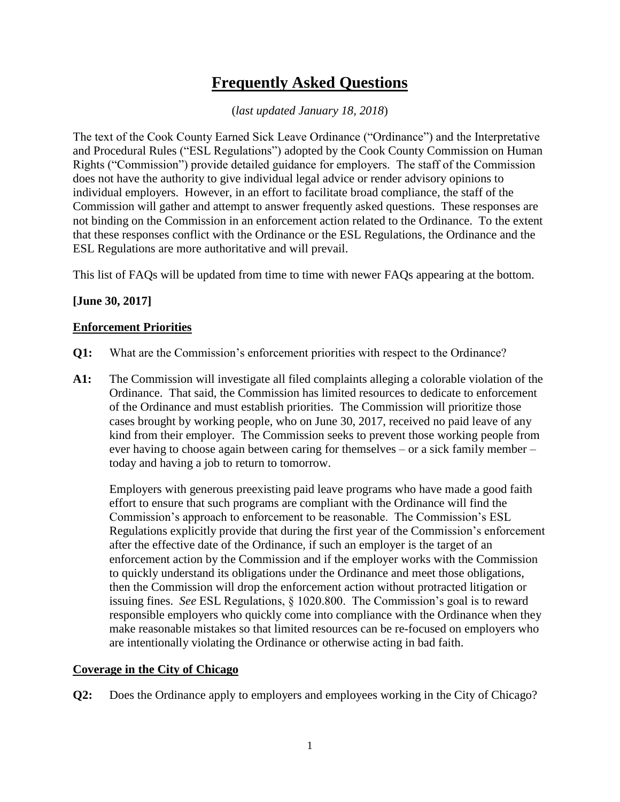# **Frequently Asked Questions**

(*last updated January 18, 2018*)

The text of the Cook County Earned Sick Leave Ordinance ("Ordinance") and the Interpretative and Procedural Rules ("ESL Regulations") adopted by the Cook County Commission on Human Rights ("Commission") provide detailed guidance for employers. The staff of the Commission does not have the authority to give individual legal advice or render advisory opinions to individual employers. However, in an effort to facilitate broad compliance, the staff of the Commission will gather and attempt to answer frequently asked questions. These responses are not binding on the Commission in an enforcement action related to the Ordinance. To the extent that these responses conflict with the Ordinance or the ESL Regulations, the Ordinance and the ESL Regulations are more authoritative and will prevail.

This list of FAQs will be updated from time to time with newer FAQs appearing at the bottom.

# **[June 30, 2017]**

# **Enforcement Priorities**

- **Q1:** What are the Commission's enforcement priorities with respect to the Ordinance?
- **A1:** The Commission will investigate all filed complaints alleging a colorable violation of the Ordinance. That said, the Commission has limited resources to dedicate to enforcement of the Ordinance and must establish priorities. The Commission will prioritize those cases brought by working people, who on June 30, 2017, received no paid leave of any kind from their employer. The Commission seeks to prevent those working people from ever having to choose again between caring for themselves – or a sick family member – today and having a job to return to tomorrow.

Employers with generous preexisting paid leave programs who have made a good faith effort to ensure that such programs are compliant with the Ordinance will find the Commission's approach to enforcement to be reasonable. The Commission's ESL Regulations explicitly provide that during the first year of the Commission's enforcement after the effective date of the Ordinance, if such an employer is the target of an enforcement action by the Commission and if the employer works with the Commission to quickly understand its obligations under the Ordinance and meet those obligations, then the Commission will drop the enforcement action without protracted litigation or issuing fines. *See* ESL Regulations, § 1020.800. The Commission's goal is to reward responsible employers who quickly come into compliance with the Ordinance when they make reasonable mistakes so that limited resources can be re-focused on employers who are intentionally violating the Ordinance or otherwise acting in bad faith.

#### **Coverage in the City of Chicago**

**Q2:** Does the Ordinance apply to employers and employees working in the City of Chicago?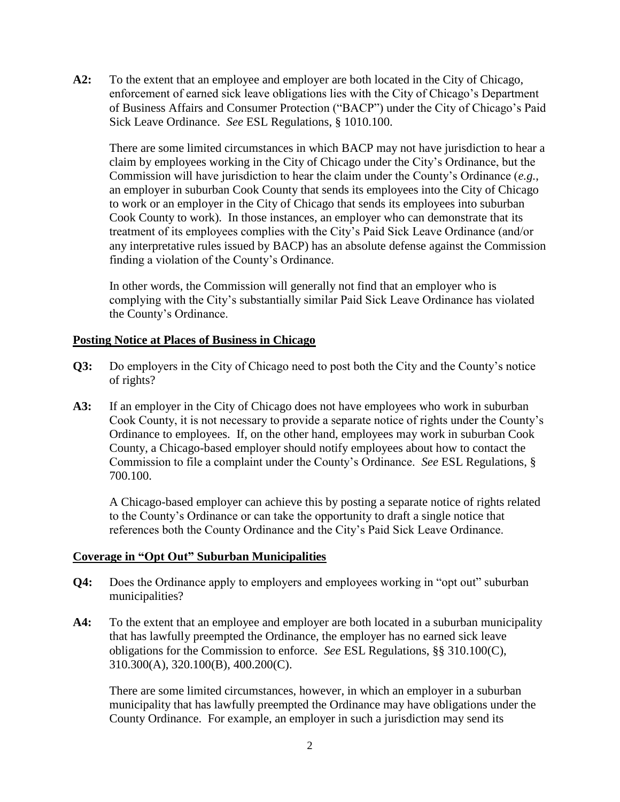**A2:** To the extent that an employee and employer are both located in the City of Chicago, enforcement of earned sick leave obligations lies with the City of Chicago's Department of Business Affairs and Consumer Protection ("BACP") under the City of Chicago's Paid Sick Leave Ordinance. *See* ESL Regulations, § 1010.100.

There are some limited circumstances in which BACP may not have jurisdiction to hear a claim by employees working in the City of Chicago under the City's Ordinance, but the Commission will have jurisdiction to hear the claim under the County's Ordinance (*e.g.*, an employer in suburban Cook County that sends its employees into the City of Chicago to work or an employer in the City of Chicago that sends its employees into suburban Cook County to work). In those instances, an employer who can demonstrate that its treatment of its employees complies with the City's Paid Sick Leave Ordinance (and/or any interpretative rules issued by BACP) has an absolute defense against the Commission finding a violation of the County's Ordinance.

In other words, the Commission will generally not find that an employer who is complying with the City's substantially similar Paid Sick Leave Ordinance has violated the County's Ordinance.

# **Posting Notice at Places of Business in Chicago**

- **Q3:** Do employers in the City of Chicago need to post both the City and the County's notice of rights?
- **A3:** If an employer in the City of Chicago does not have employees who work in suburban Cook County, it is not necessary to provide a separate notice of rights under the County's Ordinance to employees. If, on the other hand, employees may work in suburban Cook County, a Chicago-based employer should notify employees about how to contact the Commission to file a complaint under the County's Ordinance. *See* ESL Regulations, § 700.100.

A Chicago-based employer can achieve this by posting a separate notice of rights related to the County's Ordinance or can take the opportunity to draft a single notice that references both the County Ordinance and the City's Paid Sick Leave Ordinance.

#### **Coverage in "Opt Out" Suburban Municipalities**

- **Q4:** Does the Ordinance apply to employers and employees working in "opt out" suburban municipalities?
- A4: To the extent that an employee and employer are both located in a suburban municipality that has lawfully preempted the Ordinance, the employer has no earned sick leave obligations for the Commission to enforce. *See* ESL Regulations, §§ 310.100(C), 310.300(A), 320.100(B), 400.200(C).

There are some limited circumstances, however, in which an employer in a suburban municipality that has lawfully preempted the Ordinance may have obligations under the County Ordinance. For example, an employer in such a jurisdiction may send its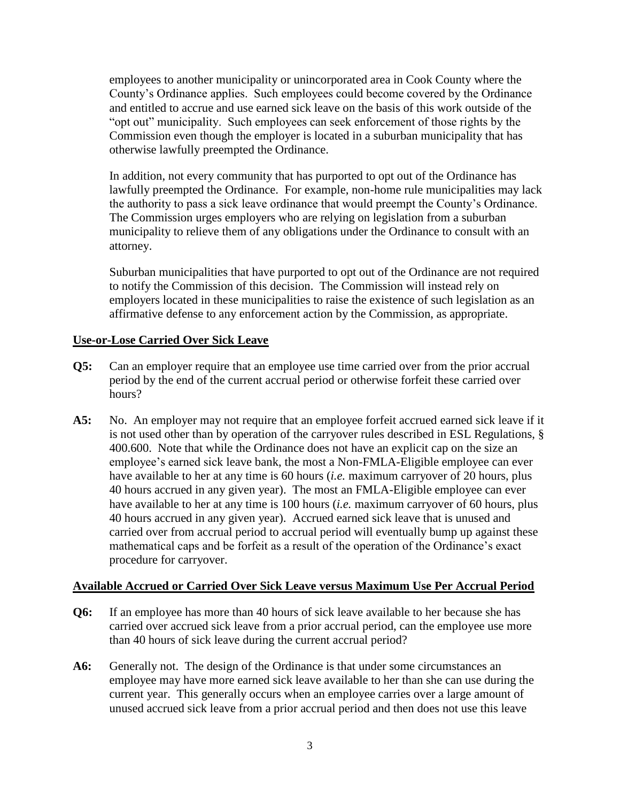employees to another municipality or unincorporated area in Cook County where the County's Ordinance applies. Such employees could become covered by the Ordinance and entitled to accrue and use earned sick leave on the basis of this work outside of the "opt out" municipality. Such employees can seek enforcement of those rights by the Commission even though the employer is located in a suburban municipality that has otherwise lawfully preempted the Ordinance.

In addition, not every community that has purported to opt out of the Ordinance has lawfully preempted the Ordinance. For example, non-home rule municipalities may lack the authority to pass a sick leave ordinance that would preempt the County's Ordinance. The Commission urges employers who are relying on legislation from a suburban municipality to relieve them of any obligations under the Ordinance to consult with an attorney.

Suburban municipalities that have purported to opt out of the Ordinance are not required to notify the Commission of this decision. The Commission will instead rely on employers located in these municipalities to raise the existence of such legislation as an affirmative defense to any enforcement action by the Commission, as appropriate.

# **Use-or-Lose Carried Over Sick Leave**

- **Q5:** Can an employer require that an employee use time carried over from the prior accrual period by the end of the current accrual period or otherwise forfeit these carried over hours?
- **A5:** No. An employer may not require that an employee forfeit accrued earned sick leave if it is not used other than by operation of the carryover rules described in ESL Regulations, § 400.600. Note that while the Ordinance does not have an explicit cap on the size an employee's earned sick leave bank, the most a Non-FMLA-Eligible employee can ever have available to her at any time is 60 hours (*i.e.* maximum carryover of 20 hours, plus 40 hours accrued in any given year). The most an FMLA-Eligible employee can ever have available to her at any time is 100 hours (*i.e.* maximum carryover of 60 hours, plus 40 hours accrued in any given year). Accrued earned sick leave that is unused and carried over from accrual period to accrual period will eventually bump up against these mathematical caps and be forfeit as a result of the operation of the Ordinance's exact procedure for carryover.

#### **Available Accrued or Carried Over Sick Leave versus Maximum Use Per Accrual Period**

- **Q6:** If an employee has more than 40 hours of sick leave available to her because she has carried over accrued sick leave from a prior accrual period, can the employee use more than 40 hours of sick leave during the current accrual period?
- **A6:** Generally not. The design of the Ordinance is that under some circumstances an employee may have more earned sick leave available to her than she can use during the current year. This generally occurs when an employee carries over a large amount of unused accrued sick leave from a prior accrual period and then does not use this leave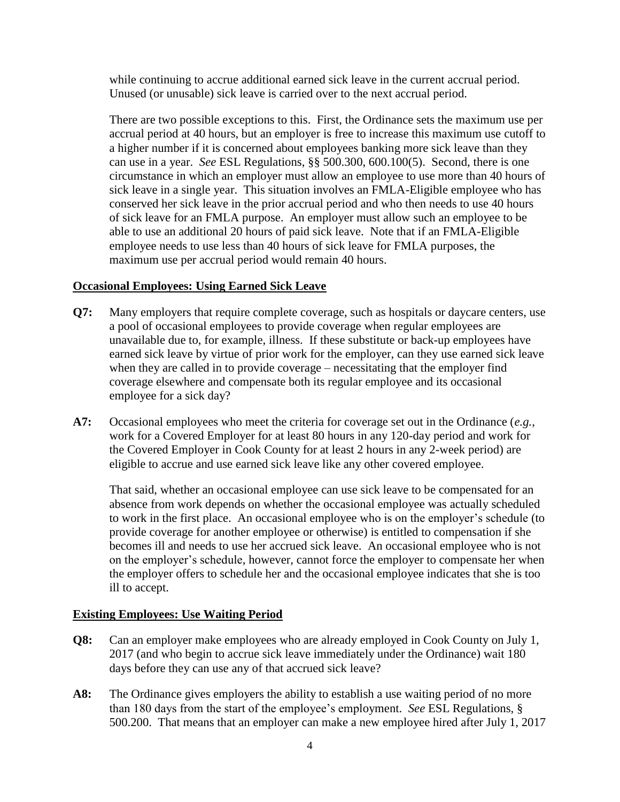while continuing to accrue additional earned sick leave in the current accrual period. Unused (or unusable) sick leave is carried over to the next accrual period.

There are two possible exceptions to this. First, the Ordinance sets the maximum use per accrual period at 40 hours, but an employer is free to increase this maximum use cutoff to a higher number if it is concerned about employees banking more sick leave than they can use in a year. *See* ESL Regulations, §§ 500.300, 600.100(5). Second, there is one circumstance in which an employer must allow an employee to use more than 40 hours of sick leave in a single year. This situation involves an FMLA-Eligible employee who has conserved her sick leave in the prior accrual period and who then needs to use 40 hours of sick leave for an FMLA purpose. An employer must allow such an employee to be able to use an additional 20 hours of paid sick leave. Note that if an FMLA-Eligible employee needs to use less than 40 hours of sick leave for FMLA purposes, the maximum use per accrual period would remain 40 hours.

# **Occasional Employees: Using Earned Sick Leave**

- **Q7:** Many employers that require complete coverage, such as hospitals or daycare centers, use a pool of occasional employees to provide coverage when regular employees are unavailable due to, for example, illness. If these substitute or back-up employees have earned sick leave by virtue of prior work for the employer, can they use earned sick leave when they are called in to provide coverage – necessitating that the employer find coverage elsewhere and compensate both its regular employee and its occasional employee for a sick day?
- **A7:** Occasional employees who meet the criteria for coverage set out in the Ordinance (*e.g.*, work for a Covered Employer for at least 80 hours in any 120-day period and work for the Covered Employer in Cook County for at least 2 hours in any 2-week period) are eligible to accrue and use earned sick leave like any other covered employee.

That said, whether an occasional employee can use sick leave to be compensated for an absence from work depends on whether the occasional employee was actually scheduled to work in the first place. An occasional employee who is on the employer's schedule (to provide coverage for another employee or otherwise) is entitled to compensation if she becomes ill and needs to use her accrued sick leave. An occasional employee who is not on the employer's schedule, however, cannot force the employer to compensate her when the employer offers to schedule her and the occasional employee indicates that she is too ill to accept.

#### **Existing Employees: Use Waiting Period**

- **Q8:** Can an employer make employees who are already employed in Cook County on July 1, 2017 (and who begin to accrue sick leave immediately under the Ordinance) wait 180 days before they can use any of that accrued sick leave?
- **A8:** The Ordinance gives employers the ability to establish a use waiting period of no more than 180 days from the start of the employee's employment. *See* ESL Regulations, § 500.200. That means that an employer can make a new employee hired after July 1, 2017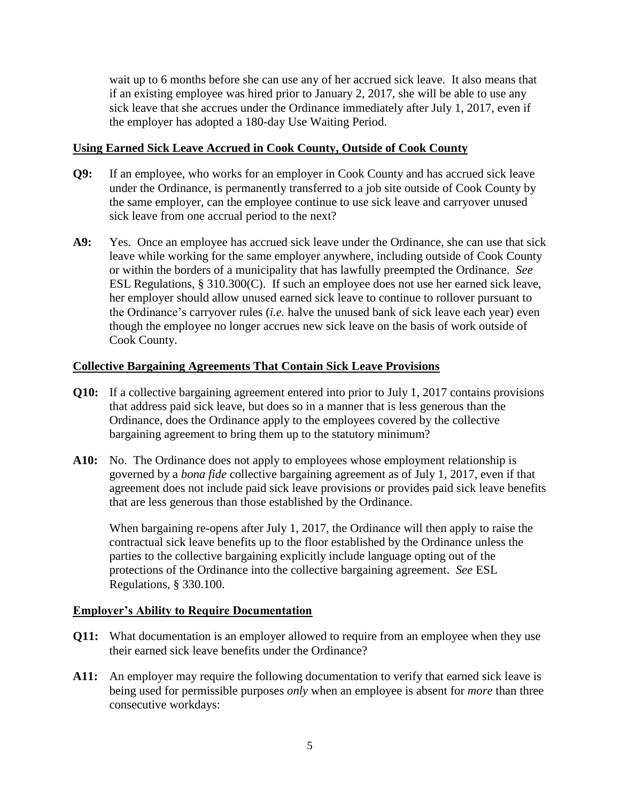wait up to 6 months before she can use any of her accrued sick leave. It also means that if an existing employee was hired prior to January 2, 2017, she will be able to use any sick leave that she accrues under the Ordinance immediately after July 1, 2017, even if the employer has adopted a 180-day Use Waiting Period.

# **Using Earned Sick Leave Accrued in Cook County, Outside of Cook County**

- **Q9:** If an employee, who works for an employer in Cook County and has accrued sick leave under the Ordinance, is permanently transferred to a job site outside of Cook County by the same employer, can the employee continue to use sick leave and carryover unused sick leave from one accrual period to the next?
- **A9:** Yes. Once an employee has accrued sick leave under the Ordinance, she can use that sick leave while working for the same employer anywhere, including outside of Cook County or within the borders of a municipality that has lawfully preempted the Ordinance. *See* ESL Regulations, § 310.300(C). If such an employee does not use her earned sick leave, her employer should allow unused earned sick leave to continue to rollover pursuant to the Ordinance's carryover rules (*i.e.* halve the unused bank of sick leave each year) even though the employee no longer accrues new sick leave on the basis of work outside of Cook County.

# **Collective Bargaining Agreements That Contain Sick Leave Provisions**

- **Q10:** If a collective bargaining agreement entered into prior to July 1, 2017 contains provisions that address paid sick leave, but does so in a manner that is less generous than the Ordinance, does the Ordinance apply to the employees covered by the collective bargaining agreement to bring them up to the statutory minimum?
- **A10:** No. The Ordinance does not apply to employees whose employment relationship is governed by a *bona fide* collective bargaining agreement as of July 1, 2017, even if that agreement does not include paid sick leave provisions or provides paid sick leave benefits that are less generous than those established by the Ordinance.

When bargaining re-opens after July 1, 2017, the Ordinance will then apply to raise the contractual sick leave benefits up to the floor established by the Ordinance unless the parties to the collective bargaining explicitly include language opting out of the protections of the Ordinance into the collective bargaining agreement. *See* ESL Regulations, § 330.100.

#### **Employer's Ability to Require Documentation**

- **Q11:** What documentation is an employer allowed to require from an employee when they use their earned sick leave benefits under the Ordinance?
- **A11:** An employer may require the following documentation to verify that earned sick leave is being used for permissible purposes *only* when an employee is absent for *more* than three consecutive workdays: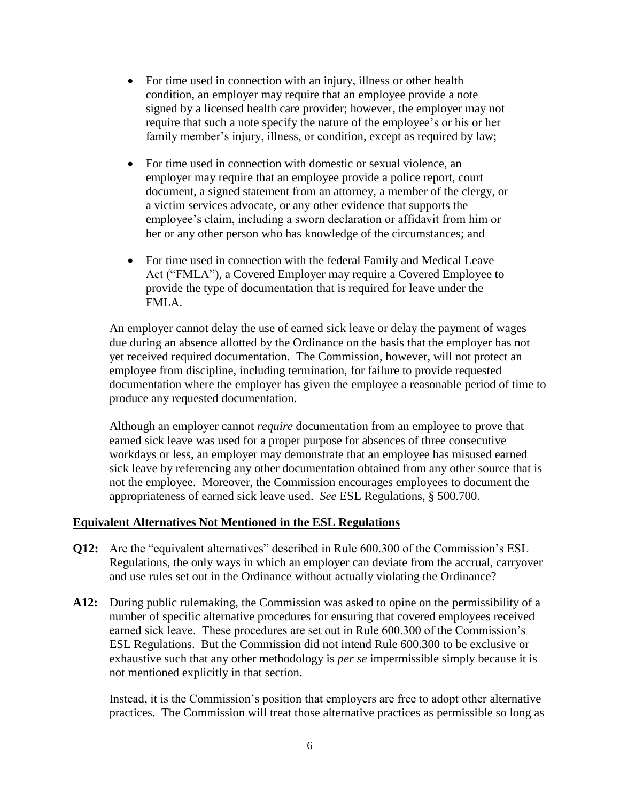- For time used in connection with an injury, illness or other health condition, an employer may require that an employee provide a note signed by a licensed health care provider; however, the employer may not require that such a note specify the nature of the employee's or his or her family member's injury, illness, or condition, except as required by law;
- For time used in connection with domestic or sexual violence, an employer may require that an employee provide a police report, court document, a signed statement from an attorney, a member of the clergy, or a victim services advocate, or any other evidence that supports the employee's claim, including a sworn declaration or affidavit from him or her or any other person who has knowledge of the circumstances; and
- For time used in connection with the federal Family and Medical Leave Act ("FMLA"), a Covered Employer may require a Covered Employee to provide the type of documentation that is required for leave under the FMLA.

An employer cannot delay the use of earned sick leave or delay the payment of wages due during an absence allotted by the Ordinance on the basis that the employer has not yet received required documentation. The Commission, however, will not protect an employee from discipline, including termination, for failure to provide requested documentation where the employer has given the employee a reasonable period of time to produce any requested documentation.

Although an employer cannot *require* documentation from an employee to prove that earned sick leave was used for a proper purpose for absences of three consecutive workdays or less, an employer may demonstrate that an employee has misused earned sick leave by referencing any other documentation obtained from any other source that is not the employee. Moreover, the Commission encourages employees to document the appropriateness of earned sick leave used. *See* ESL Regulations, § 500.700.

#### **Equivalent Alternatives Not Mentioned in the ESL Regulations**

- **Q12:** Are the "equivalent alternatives" described in Rule 600.300 of the Commission's ESL Regulations, the only ways in which an employer can deviate from the accrual, carryover and use rules set out in the Ordinance without actually violating the Ordinance?
- **A12:** During public rulemaking, the Commission was asked to opine on the permissibility of a number of specific alternative procedures for ensuring that covered employees received earned sick leave. These procedures are set out in Rule 600.300 of the Commission's ESL Regulations. But the Commission did not intend Rule 600.300 to be exclusive or exhaustive such that any other methodology is *per se* impermissible simply because it is not mentioned explicitly in that section.

Instead, it is the Commission's position that employers are free to adopt other alternative practices. The Commission will treat those alternative practices as permissible so long as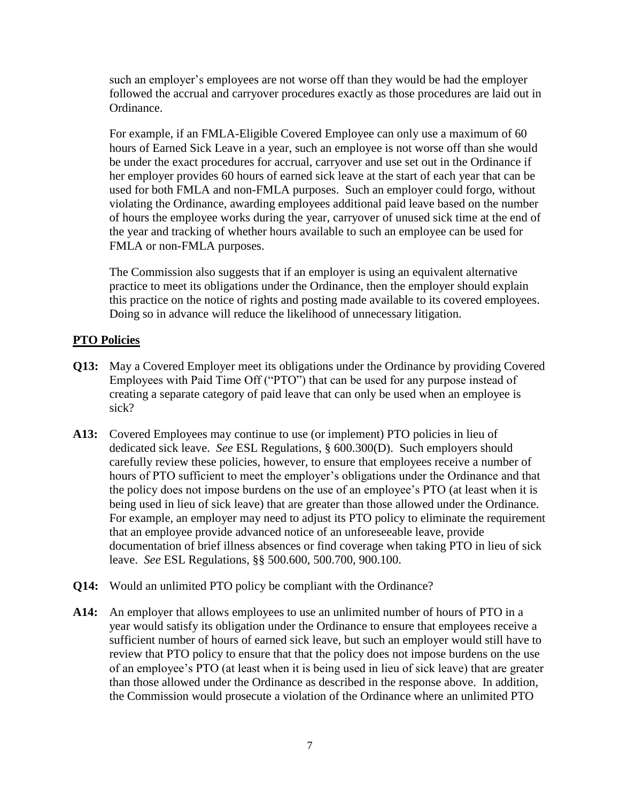such an employer's employees are not worse off than they would be had the employer followed the accrual and carryover procedures exactly as those procedures are laid out in Ordinance.

For example, if an FMLA-Eligible Covered Employee can only use a maximum of 60 hours of Earned Sick Leave in a year, such an employee is not worse off than she would be under the exact procedures for accrual, carryover and use set out in the Ordinance if her employer provides 60 hours of earned sick leave at the start of each year that can be used for both FMLA and non-FMLA purposes. Such an employer could forgo, without violating the Ordinance, awarding employees additional paid leave based on the number of hours the employee works during the year, carryover of unused sick time at the end of the year and tracking of whether hours available to such an employee can be used for FMLA or non-FMLA purposes.

The Commission also suggests that if an employer is using an equivalent alternative practice to meet its obligations under the Ordinance, then the employer should explain this practice on the notice of rights and posting made available to its covered employees. Doing so in advance will reduce the likelihood of unnecessary litigation.

# **PTO Policies**

- **Q13:** May a Covered Employer meet its obligations under the Ordinance by providing Covered Employees with Paid Time Off ("PTO") that can be used for any purpose instead of creating a separate category of paid leave that can only be used when an employee is sick?
- **A13:** Covered Employees may continue to use (or implement) PTO policies in lieu of dedicated sick leave. *See* ESL Regulations, § 600.300(D). Such employers should carefully review these policies, however, to ensure that employees receive a number of hours of PTO sufficient to meet the employer's obligations under the Ordinance and that the policy does not impose burdens on the use of an employee's PTO (at least when it is being used in lieu of sick leave) that are greater than those allowed under the Ordinance. For example, an employer may need to adjust its PTO policy to eliminate the requirement that an employee provide advanced notice of an unforeseeable leave, provide documentation of brief illness absences or find coverage when taking PTO in lieu of sick leave. *See* ESL Regulations, §§ 500.600, 500.700, 900.100.
- **Q14:** Would an unlimited PTO policy be compliant with the Ordinance?
- **A14:** An employer that allows employees to use an unlimited number of hours of PTO in a year would satisfy its obligation under the Ordinance to ensure that employees receive a sufficient number of hours of earned sick leave, but such an employer would still have to review that PTO policy to ensure that that the policy does not impose burdens on the use of an employee's PTO (at least when it is being used in lieu of sick leave) that are greater than those allowed under the Ordinance as described in the response above. In addition, the Commission would prosecute a violation of the Ordinance where an unlimited PTO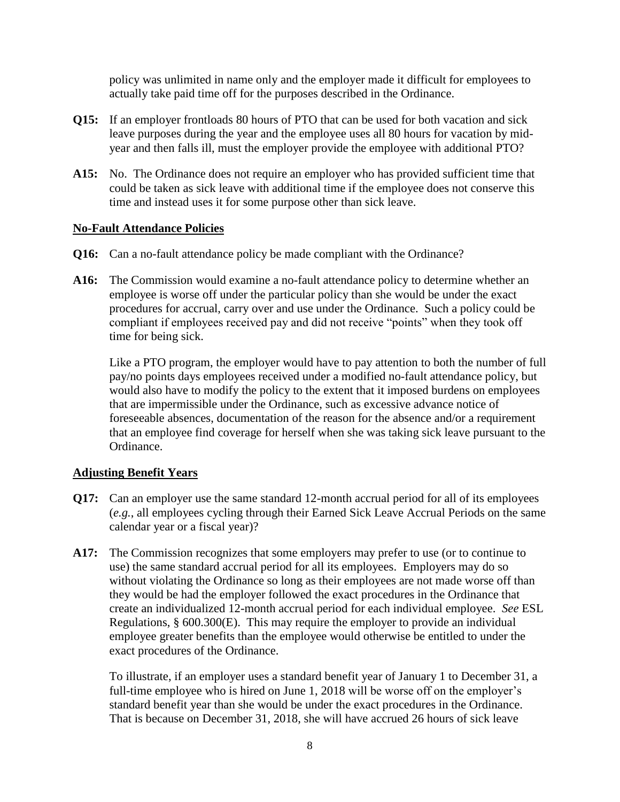policy was unlimited in name only and the employer made it difficult for employees to actually take paid time off for the purposes described in the Ordinance.

- **Q15:** If an employer frontloads 80 hours of PTO that can be used for both vacation and sick leave purposes during the year and the employee uses all 80 hours for vacation by midyear and then falls ill, must the employer provide the employee with additional PTO?
- **A15:** No. The Ordinance does not require an employer who has provided sufficient time that could be taken as sick leave with additional time if the employee does not conserve this time and instead uses it for some purpose other than sick leave.

# **No-Fault Attendance Policies**

- **Q16:** Can a no-fault attendance policy be made compliant with the Ordinance?
- **A16:** The Commission would examine a no-fault attendance policy to determine whether an employee is worse off under the particular policy than she would be under the exact procedures for accrual, carry over and use under the Ordinance. Such a policy could be compliant if employees received pay and did not receive "points" when they took off time for being sick.

Like a PTO program, the employer would have to pay attention to both the number of full pay/no points days employees received under a modified no-fault attendance policy, but would also have to modify the policy to the extent that it imposed burdens on employees that are impermissible under the Ordinance, such as excessive advance notice of foreseeable absences, documentation of the reason for the absence and/or a requirement that an employee find coverage for herself when she was taking sick leave pursuant to the Ordinance.

# **Adjusting Benefit Years**

- **Q17:** Can an employer use the same standard 12-month accrual period for all of its employees (*e.g.*, all employees cycling through their Earned Sick Leave Accrual Periods on the same calendar year or a fiscal year)?
- **A17:** The Commission recognizes that some employers may prefer to use (or to continue to use) the same standard accrual period for all its employees. Employers may do so without violating the Ordinance so long as their employees are not made worse off than they would be had the employer followed the exact procedures in the Ordinance that create an individualized 12-month accrual period for each individual employee. *See* ESL Regulations, § 600.300(E). This may require the employer to provide an individual employee greater benefits than the employee would otherwise be entitled to under the exact procedures of the Ordinance.

To illustrate, if an employer uses a standard benefit year of January 1 to December 31, a full-time employee who is hired on June 1, 2018 will be worse off on the employer's standard benefit year than she would be under the exact procedures in the Ordinance. That is because on December 31, 2018, she will have accrued 26 hours of sick leave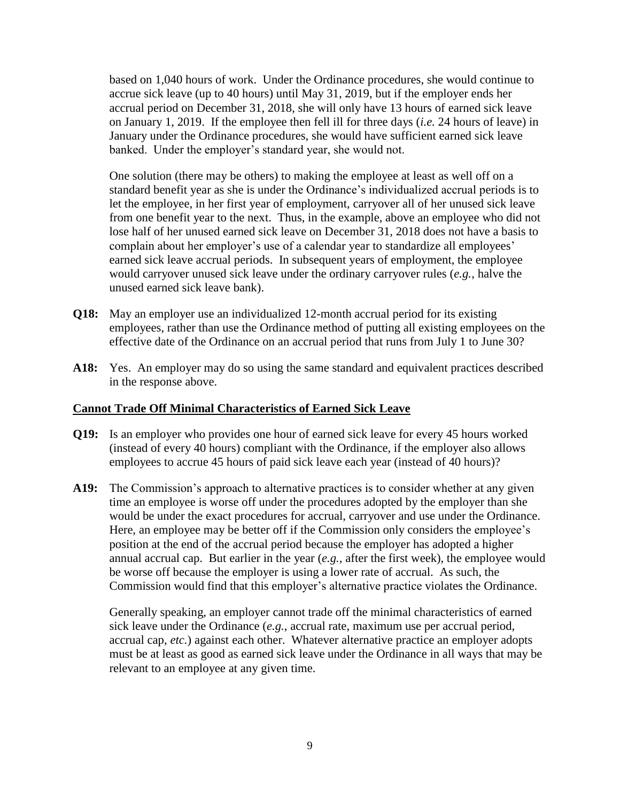based on 1,040 hours of work. Under the Ordinance procedures, she would continue to accrue sick leave (up to 40 hours) until May 31, 2019, but if the employer ends her accrual period on December 31, 2018, she will only have 13 hours of earned sick leave on January 1, 2019. If the employee then fell ill for three days (*i.e.* 24 hours of leave) in January under the Ordinance procedures, she would have sufficient earned sick leave banked. Under the employer's standard year, she would not.

One solution (there may be others) to making the employee at least as well off on a standard benefit year as she is under the Ordinance's individualized accrual periods is to let the employee, in her first year of employment, carryover all of her unused sick leave from one benefit year to the next. Thus, in the example, above an employee who did not lose half of her unused earned sick leave on December 31, 2018 does not have a basis to complain about her employer's use of a calendar year to standardize all employees' earned sick leave accrual periods. In subsequent years of employment, the employee would carryover unused sick leave under the ordinary carryover rules (*e.g.*, halve the unused earned sick leave bank).

- **Q18:** May an employer use an individualized 12-month accrual period for its existing employees, rather than use the Ordinance method of putting all existing employees on the effective date of the Ordinance on an accrual period that runs from July 1 to June 30?
- **A18:** Yes. An employer may do so using the same standard and equivalent practices described in the response above.

#### **Cannot Trade Off Minimal Characteristics of Earned Sick Leave**

- **Q19:** Is an employer who provides one hour of earned sick leave for every 45 hours worked (instead of every 40 hours) compliant with the Ordinance, if the employer also allows employees to accrue 45 hours of paid sick leave each year (instead of 40 hours)?
- **A19:** The Commission's approach to alternative practices is to consider whether at any given time an employee is worse off under the procedures adopted by the employer than she would be under the exact procedures for accrual, carryover and use under the Ordinance. Here, an employee may be better off if the Commission only considers the employee's position at the end of the accrual period because the employer has adopted a higher annual accrual cap. But earlier in the year (*e.g.*, after the first week), the employee would be worse off because the employer is using a lower rate of accrual. As such, the Commission would find that this employer's alternative practice violates the Ordinance.

Generally speaking, an employer cannot trade off the minimal characteristics of earned sick leave under the Ordinance (*e.g.*, accrual rate, maximum use per accrual period, accrual cap, *etc.*) against each other. Whatever alternative practice an employer adopts must be at least as good as earned sick leave under the Ordinance in all ways that may be relevant to an employee at any given time.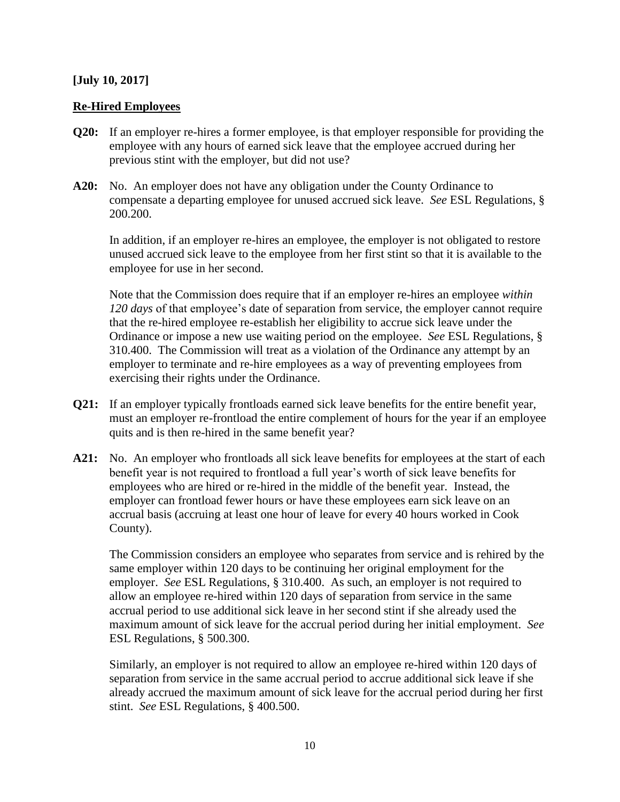#### **[July 10, 2017]**

#### **Re-Hired Employees**

- **Q20:** If an employer re-hires a former employee, is that employer responsible for providing the employee with any hours of earned sick leave that the employee accrued during her previous stint with the employer, but did not use?
- **A20:** No. An employer does not have any obligation under the County Ordinance to compensate a departing employee for unused accrued sick leave. *See* ESL Regulations, § 200.200.

In addition, if an employer re-hires an employee, the employer is not obligated to restore unused accrued sick leave to the employee from her first stint so that it is available to the employee for use in her second.

Note that the Commission does require that if an employer re-hires an employee *within 120 days* of that employee's date of separation from service, the employer cannot require that the re-hired employee re-establish her eligibility to accrue sick leave under the Ordinance or impose a new use waiting period on the employee. *See* ESL Regulations, § 310.400. The Commission will treat as a violation of the Ordinance any attempt by an employer to terminate and re-hire employees as a way of preventing employees from exercising their rights under the Ordinance.

- **Q21:** If an employer typically frontloads earned sick leave benefits for the entire benefit year, must an employer re-frontload the entire complement of hours for the year if an employee quits and is then re-hired in the same benefit year?
- **A21:** No. An employer who frontloads all sick leave benefits for employees at the start of each benefit year is not required to frontload a full year's worth of sick leave benefits for employees who are hired or re-hired in the middle of the benefit year. Instead, the employer can frontload fewer hours or have these employees earn sick leave on an accrual basis (accruing at least one hour of leave for every 40 hours worked in Cook County).

The Commission considers an employee who separates from service and is rehired by the same employer within 120 days to be continuing her original employment for the employer. *See* ESL Regulations, § 310.400. As such, an employer is not required to allow an employee re-hired within 120 days of separation from service in the same accrual period to use additional sick leave in her second stint if she already used the maximum amount of sick leave for the accrual period during her initial employment. *See* ESL Regulations, § 500.300.

Similarly, an employer is not required to allow an employee re-hired within 120 days of separation from service in the same accrual period to accrue additional sick leave if she already accrued the maximum amount of sick leave for the accrual period during her first stint. *See* ESL Regulations, § 400.500.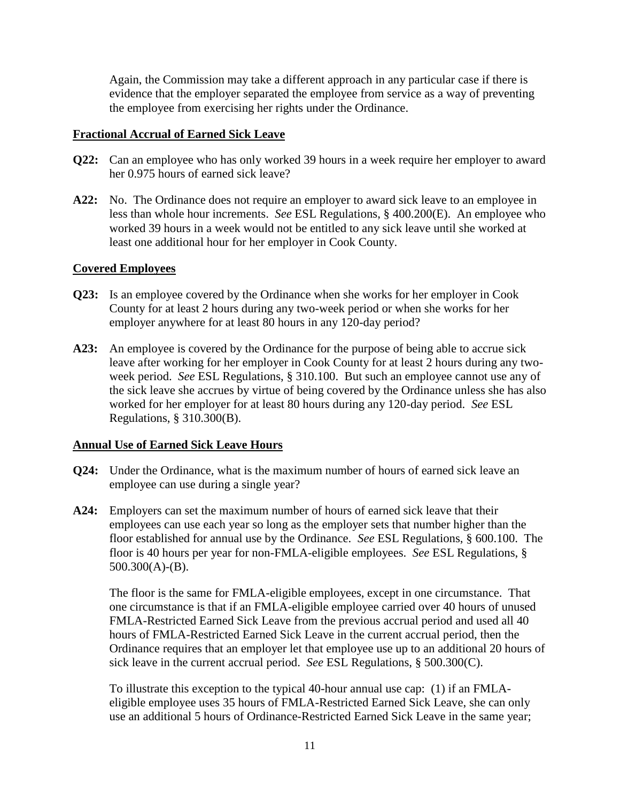Again, the Commission may take a different approach in any particular case if there is evidence that the employer separated the employee from service as a way of preventing the employee from exercising her rights under the Ordinance.

#### **Fractional Accrual of Earned Sick Leave**

- **Q22:** Can an employee who has only worked 39 hours in a week require her employer to award her 0.975 hours of earned sick leave?
- **A22:** No. The Ordinance does not require an employer to award sick leave to an employee in less than whole hour increments. *See* ESL Regulations, § 400.200(E). An employee who worked 39 hours in a week would not be entitled to any sick leave until she worked at least one additional hour for her employer in Cook County.

# **Covered Employees**

- **Q23:** Is an employee covered by the Ordinance when she works for her employer in Cook County for at least 2 hours during any two-week period or when she works for her employer anywhere for at least 80 hours in any 120-day period?
- **A23:** An employee is covered by the Ordinance for the purpose of being able to accrue sick leave after working for her employer in Cook County for at least 2 hours during any twoweek period. *See* ESL Regulations, § 310.100. But such an employee cannot use any of the sick leave she accrues by virtue of being covered by the Ordinance unless she has also worked for her employer for at least 80 hours during any 120-day period. *See* ESL Regulations, § 310.300(B).

# **Annual Use of Earned Sick Leave Hours**

- **Q24:** Under the Ordinance, what is the maximum number of hours of earned sick leave an employee can use during a single year?
- **A24:** Employers can set the maximum number of hours of earned sick leave that their employees can use each year so long as the employer sets that number higher than the floor established for annual use by the Ordinance. *See* ESL Regulations, § 600.100. The floor is 40 hours per year for non-FMLA-eligible employees. *See* ESL Regulations, § 500.300(A)-(B).

The floor is the same for FMLA-eligible employees, except in one circumstance. That one circumstance is that if an FMLA-eligible employee carried over 40 hours of unused FMLA-Restricted Earned Sick Leave from the previous accrual period and used all 40 hours of FMLA-Restricted Earned Sick Leave in the current accrual period, then the Ordinance requires that an employer let that employee use up to an additional 20 hours of sick leave in the current accrual period. *See* ESL Regulations, § 500.300(C).

To illustrate this exception to the typical 40-hour annual use cap: (1) if an FMLAeligible employee uses 35 hours of FMLA-Restricted Earned Sick Leave, she can only use an additional 5 hours of Ordinance-Restricted Earned Sick Leave in the same year;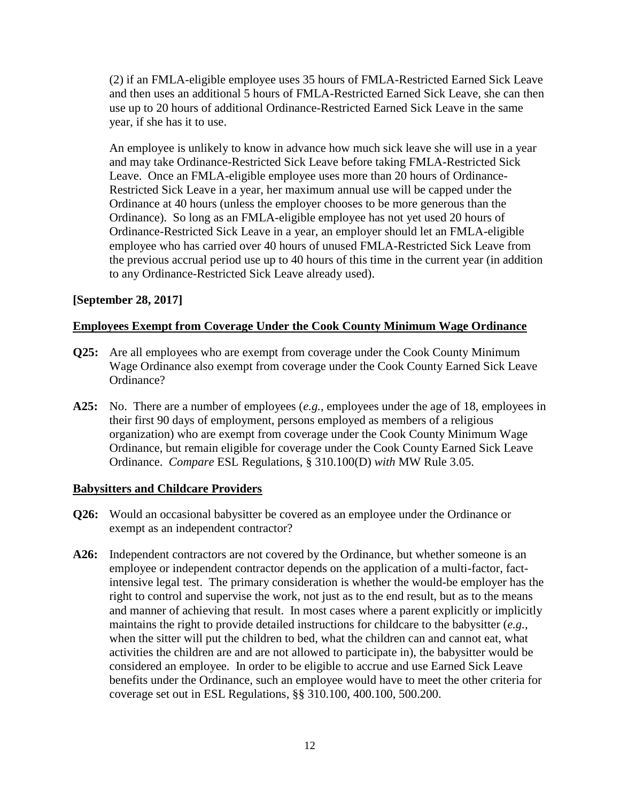(2) if an FMLA-eligible employee uses 35 hours of FMLA-Restricted Earned Sick Leave and then uses an additional 5 hours of FMLA-Restricted Earned Sick Leave, she can then use up to 20 hours of additional Ordinance-Restricted Earned Sick Leave in the same year, if she has it to use.

An employee is unlikely to know in advance how much sick leave she will use in a year and may take Ordinance-Restricted Sick Leave before taking FMLA-Restricted Sick Leave. Once an FMLA-eligible employee uses more than 20 hours of Ordinance-Restricted Sick Leave in a year, her maximum annual use will be capped under the Ordinance at 40 hours (unless the employer chooses to be more generous than the Ordinance). So long as an FMLA-eligible employee has not yet used 20 hours of Ordinance-Restricted Sick Leave in a year, an employer should let an FMLA-eligible employee who has carried over 40 hours of unused FMLA-Restricted Sick Leave from the previous accrual period use up to 40 hours of this time in the current year (in addition to any Ordinance-Restricted Sick Leave already used).

#### **[September 28, 2017]**

# **Employees Exempt from Coverage Under the Cook County Minimum Wage Ordinance**

- **Q25:** Are all employees who are exempt from coverage under the Cook County Minimum Wage Ordinance also exempt from coverage under the Cook County Earned Sick Leave Ordinance?
- **A25:** No. There are a number of employees (*e.g.*, employees under the age of 18, employees in their first 90 days of employment, persons employed as members of a religious organization) who are exempt from coverage under the Cook County Minimum Wage Ordinance, but remain eligible for coverage under the Cook County Earned Sick Leave Ordinance. *Compare* ESL Regulations, § 310.100(D) *with* MW Rule 3.05.

#### **Babysitters and Childcare Providers**

- **Q26:** Would an occasional babysitter be covered as an employee under the Ordinance or exempt as an independent contractor?
- **A26:** Independent contractors are not covered by the Ordinance, but whether someone is an employee or independent contractor depends on the application of a multi-factor, factintensive legal test. The primary consideration is whether the would-be employer has the right to control and supervise the work, not just as to the end result, but as to the means and manner of achieving that result. In most cases where a parent explicitly or implicitly maintains the right to provide detailed instructions for childcare to the babysitter (*e.g.*, when the sitter will put the children to bed, what the children can and cannot eat, what activities the children are and are not allowed to participate in), the babysitter would be considered an employee. In order to be eligible to accrue and use Earned Sick Leave benefits under the Ordinance, such an employee would have to meet the other criteria for coverage set out in ESL Regulations, §§ 310.100, 400.100, 500.200.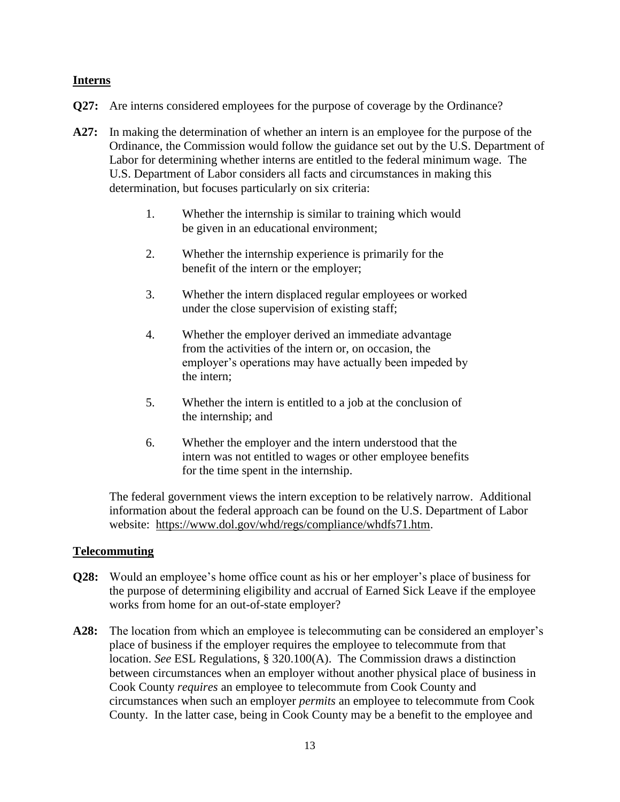#### **Interns**

- **Q27:** Are interns considered employees for the purpose of coverage by the Ordinance?
- **A27:** In making the determination of whether an intern is an employee for the purpose of the Ordinance, the Commission would follow the guidance set out by the U.S. Department of Labor for determining whether interns are entitled to the federal minimum wage. The U.S. Department of Labor considers all facts and circumstances in making this determination, but focuses particularly on six criteria:
	- 1. Whether the internship is similar to training which would be given in an educational environment;
	- 2. Whether the internship experience is primarily for the benefit of the intern or the employer;
	- 3. Whether the intern displaced regular employees or worked under the close supervision of existing staff;
	- 4. Whether the employer derived an immediate advantage from the activities of the intern or, on occasion, the employer's operations may have actually been impeded by the intern;
	- 5. Whether the intern is entitled to a job at the conclusion of the internship; and
	- 6. Whether the employer and the intern understood that the intern was not entitled to wages or other employee benefits for the time spent in the internship.

The federal government views the intern exception to be relatively narrow. Additional information about the federal approach can be found on the U.S. Department of Labor website: [https://www.dol.gov/whd/regs/compliance/whdfs71.htm.](https://www.dol.gov/whd/regs/compliance/whdfs71.htm)

# **Telecommuting**

- **Q28:** Would an employee's home office count as his or her employer's place of business for the purpose of determining eligibility and accrual of Earned Sick Leave if the employee works from home for an out-of-state employer?
- **A28:** The location from which an employee is telecommuting can be considered an employer's place of business if the employer requires the employee to telecommute from that location. *See* ESL Regulations, § 320.100(A). The Commission draws a distinction between circumstances when an employer without another physical place of business in Cook County *requires* an employee to telecommute from Cook County and circumstances when such an employer *permits* an employee to telecommute from Cook County. In the latter case, being in Cook County may be a benefit to the employee and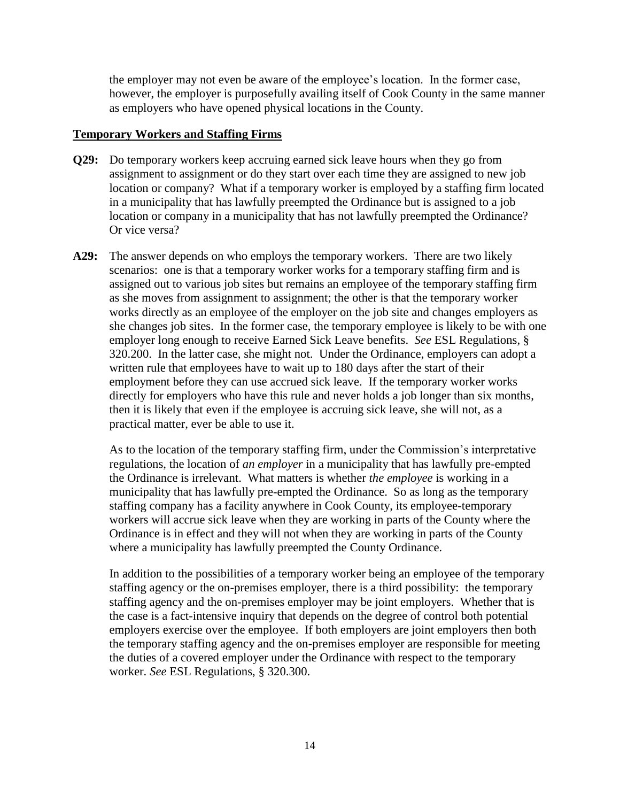the employer may not even be aware of the employee's location. In the former case, however, the employer is purposefully availing itself of Cook County in the same manner as employers who have opened physical locations in the County.

#### **Temporary Workers and Staffing Firms**

- **Q29:** Do temporary workers keep accruing earned sick leave hours when they go from assignment to assignment or do they start over each time they are assigned to new job location or company? What if a temporary worker is employed by a staffing firm located in a municipality that has lawfully preempted the Ordinance but is assigned to a job location or company in a municipality that has not lawfully preempted the Ordinance? Or vice versa?
- **A29:** The answer depends on who employs the temporary workers. There are two likely scenarios: one is that a temporary worker works for a temporary staffing firm and is assigned out to various job sites but remains an employee of the temporary staffing firm as she moves from assignment to assignment; the other is that the temporary worker works directly as an employee of the employer on the job site and changes employers as she changes job sites. In the former case, the temporary employee is likely to be with one employer long enough to receive Earned Sick Leave benefits. *See* ESL Regulations, § 320.200. In the latter case, she might not. Under the Ordinance, employers can adopt a written rule that employees have to wait up to 180 days after the start of their employment before they can use accrued sick leave. If the temporary worker works directly for employers who have this rule and never holds a job longer than six months, then it is likely that even if the employee is accruing sick leave, she will not, as a practical matter, ever be able to use it.

As to the location of the temporary staffing firm, under the Commission's interpretative regulations, the location of *an employer* in a municipality that has lawfully pre-empted the Ordinance is irrelevant. What matters is whether *the employee* is working in a municipality that has lawfully pre-empted the Ordinance. So as long as the temporary staffing company has a facility anywhere in Cook County, its employee-temporary workers will accrue sick leave when they are working in parts of the County where the Ordinance is in effect and they will not when they are working in parts of the County where a municipality has lawfully preempted the County Ordinance.

In addition to the possibilities of a temporary worker being an employee of the temporary staffing agency or the on-premises employer, there is a third possibility: the temporary staffing agency and the on-premises employer may be joint employers. Whether that is the case is a fact-intensive inquiry that depends on the degree of control both potential employers exercise over the employee. If both employers are joint employers then both the temporary staffing agency and the on-premises employer are responsible for meeting the duties of a covered employer under the Ordinance with respect to the temporary worker. *See* ESL Regulations, § 320.300.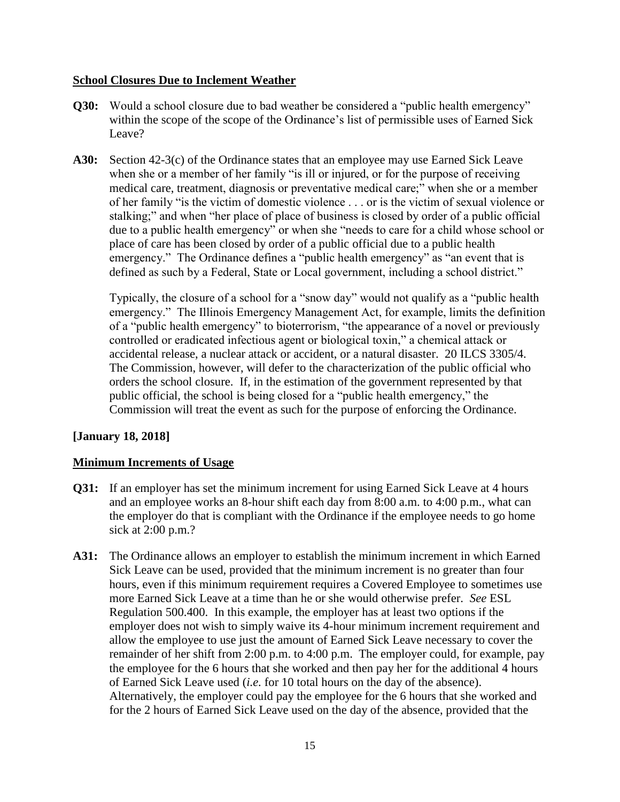# **School Closures Due to Inclement Weather**

- **Q30:** Would a school closure due to bad weather be considered a "public health emergency" within the scope of the scope of the Ordinance's list of permissible uses of Earned Sick Leave?
- **A30:** Section 42-3(c) of the Ordinance states that an employee may use Earned Sick Leave when she or a member of her family "is ill or injured, or for the purpose of receiving medical care, treatment, diagnosis or preventative medical care;" when she or a member of her family "is the victim of domestic violence . . . or is the victim of sexual violence or stalking;" and when "her place of place of business is closed by order of a public official due to a public health emergency" or when she "needs to care for a child whose school or place of care has been closed by order of a public official due to a public health emergency." The Ordinance defines a "public health emergency" as "an event that is defined as such by a Federal, State or Local government, including a school district."

Typically, the closure of a school for a "snow day" would not qualify as a "public health emergency." The Illinois Emergency Management Act, for example, limits the definition of a "public health emergency" to bioterrorism, "the appearance of a novel or previously controlled or eradicated infectious agent or biological toxin," a chemical attack or accidental release, a nuclear attack or accident, or a natural disaster. 20 ILCS 3305/4. The Commission, however, will defer to the characterization of the public official who orders the school closure. If, in the estimation of the government represented by that public official, the school is being closed for a "public health emergency," the Commission will treat the event as such for the purpose of enforcing the Ordinance.

# **[January 18, 2018]**

# **Minimum Increments of Usage**

- **Q31:** If an employer has set the minimum increment for using Earned Sick Leave at 4 hours and an employee works an 8-hour shift each day from 8:00 a.m. to 4:00 p.m., what can the employer do that is compliant with the Ordinance if the employee needs to go home sick at 2:00 p.m.?
- **A31:** The Ordinance allows an employer to establish the minimum increment in which Earned Sick Leave can be used, provided that the minimum increment is no greater than four hours, even if this minimum requirement requires a Covered Employee to sometimes use more Earned Sick Leave at a time than he or she would otherwise prefer. *See* ESL Regulation 500.400. In this example, the employer has at least two options if the employer does not wish to simply waive its 4-hour minimum increment requirement and allow the employee to use just the amount of Earned Sick Leave necessary to cover the remainder of her shift from 2:00 p.m. to 4:00 p.m. The employer could, for example, pay the employee for the 6 hours that she worked and then pay her for the additional 4 hours of Earned Sick Leave used (*i.e.* for 10 total hours on the day of the absence). Alternatively, the employer could pay the employee for the 6 hours that she worked and for the 2 hours of Earned Sick Leave used on the day of the absence, provided that the